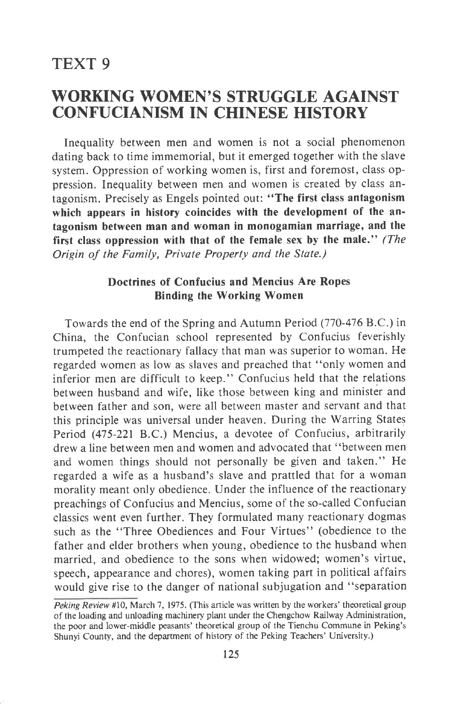# TEXT<sub>9</sub>

## WORKING WOMEN'S STRUGGLE AGAINST CONFUCIANISM IN CHINESE HISTORY

Inequality between men and women is not a social phenomenon dating back to time immemorial, but it emerged together with the slave system. Oppression of working women is, first and foremost, class oppression. Inequality between men and women is created by class antagonism. Precisely as Engels pointed out: "The first class antagonism which appears in history coincides with the development of the antagonism between man and woman in monogamian marriage, and the first class oppression with that of the female sex by the male." (The Origin of the Family, Private Property and the State.)

### Doctrines of Confucius and Mencius Are Ropes Binding the Working Women

Towards the end of the Spring and Autumn Period (770-476 B.C.) in China, the Confucian school represented by Confucius feverishly trumpeted the reactionary fallacy that man was superior to woman. He regarded women as low as slaves and preached that "only women and inferior men are difficult to keep." Confucius held that the relations between husband and wife, like those between king and minister and between father and son, were all between master and servant and that this principle was universal under heaven. During the Warring States Period (475-221 B.C.) Mencius, a devotee of Confucius, arbitrarily drew a line between men and women and advocated that "between men and women things should not personally be given and taken." He regarded a wife as a husband's slave and prattled that for a woman morality meant only obedience. Under the influence of the reactionary preachings of Confucius and Mencius, some of the so-called Confucian classics went even further. They formulated many reactionary dogmas such as the "Three Obediences and Four Virtues" (obedience to the father and elder brothers when young, obedience to the husband when married, and obedience to the sons when widowed; women's virtue, speech, appearance and chores), women taking part in political affairs would give rise to the danger of national subjugation and "separation

Peking Review #10, March 7, 1975. (This article was written by the workers' theoretical group of the loading and unloading machinery plant under the Chengchow Railway Administration, the poor and lower-middle peasants' theoretical group of the Tienchu Commune in Peking's Shunyi County, and the departrnent of history of the Peking Teachers' University.)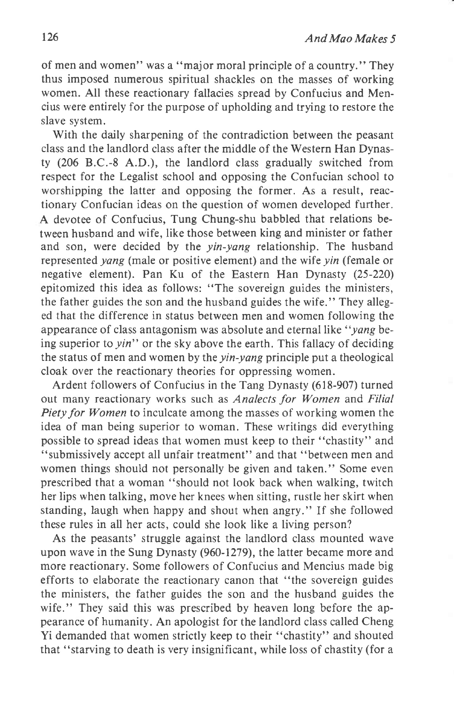of men and women'' was a "major moral principle of a country." They thus imposed numerous spiritual shackles on the masses of working women. All these reactionary fallacies spread by Confucius and Mencius were entirely for the purpose of upholding and trying to restore the slave system.

With the daily sharpening of the contradiction between the peasant class and the landlord class after the middle of the Western Han Dynasty (206 B.C.-8 A.D.), the landlord class gradually switched from respect for the Legalist school and opposing the Confucian school to worshipping the latter and opposing the former. As a result, reactionary Confucian ideas on the question of women developed further. A devotee of Confucius, Tung Chung-shu babbled that relations between husband and wife, like those between king and minister or father and son, were decided by the *yin-yang* relationship. The husband represented *yang* (male or positive element) and the wife *yin* (female or negative element). Pan Ku of the Eastern Han Dynasty (25-220) epitomized this idea as follows: "The sovereign guides the ministers, the father guides the son and the husband guides the wife." They alleged that the difference in status between men and women following the appearance of class antagonism was absolute and eternal like "*yang* being superior to *yin*" or the sky above the earth. This fallacy of deciding the status of men and women by the *yin-yang* principle put a theological cloak over the reactionary theories for oppressing women.

Ardent followers of Confucius in the Tang Dynasty (618-907) turned out many reactionary works such as Analects for Women and Filial Piety for Women to inculcate among the masses of working women the idea of man being superior to woman. These writings did everything possible to spread ideas that women must keep to their "chastity" and "submissively accept all unfair treatment" and that "between men and women things should not personally be given and taken." Some even prescribed that a woman "should not look back when walking, twitch her lips when talking, move her knees when sitting, rustle her skirt when standing, laugh when happy and shout when angry." If she followed these rules in all her acts, could she look like a living person?

As the peasants' struggle against the landlord class mounted wave upon wave in the Sung Dynasty (960-1279), the latter became more and more reactionary. Some followers of Confucius and Mencius made big efforts to elaborate the reactionary canon that "the sovereign guides the ministers, the father guides the son and the husband guides the wife." They said this was prescribed by heaven long before the appearance of humanity. An apologist for the landlord class called Cheng Yi demanded that women strictly keep to their "chastity" and shouted that "starving to death is very insignificant, while loss of chastity (for a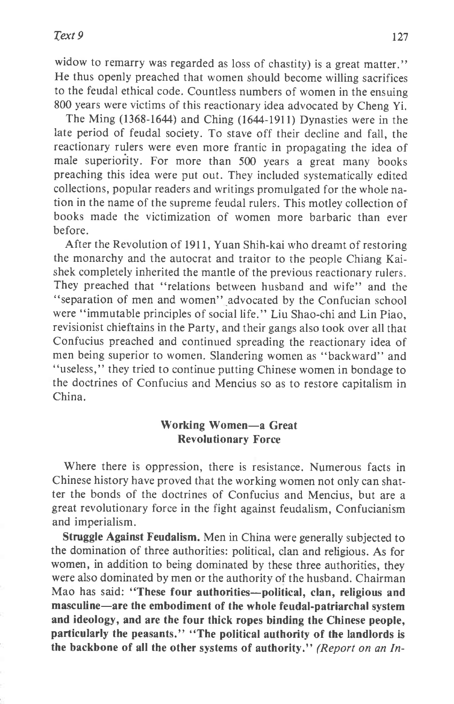widow to remarry was regarded as loss of chastity) is a great matter." He thus openly preached that women should become willing sacrifices to the feudal ethical code. Countless numbers of women in the ensuing 800 years were victims of this reactionary idea advocated by Cheng yi.

The Ming (1368-1644) and Ching (1644-19ll) Dynasties were in the Iate period of feudal society. To stave off their decline and fall, the reactionary rulers were even more frantic in propagating the idea of male superiority. For more than 500 years a great many books preaching this idea were put out. They included systematically edited collections, popular readers and writings promulgated for the whole nation in the name of the supreme feudal rulers. This motley collection of books made the victimization of women more barbaric than ever before.

After the Revolution of 1911, Yuan Shih-kai who dreamt of restoring the monarchy and the autocrat and traitor to the people Chiang Kaishek completely inherited the mantle of the previous reactionary rulers. They preached that "relations between husband and wife" and the "separation of men and women"\_advocated by the Confucian school were "immutable principles of social Iife." Liu Shao-chi and Lin Piao, revisionist chieftains in the Party, and their gangs also took over all that Confucius preached and continued spreading the reactionary idea of men being superior to women. Slandering women as "backward" and "useless," they tried to continue putting Chinese women in bondage to the doctrines of Confucius and Mencius so as to restore capitalism in China.

### Working Women-a Great Revolutionary Force

Where there is oppression, there is resistance. Numerous facts in Chinese history have proved that the working women not only can shatter the bonds of the doctrines of Confucius and Mencius, but are <sup>a</sup> great revolutionary force in the fight against feudalism, Confucianism and imperialism.

Struggle Against Feudalism. Men in China were generally subjected to the domination of three authorities: political, clan and religious. As for women, in addition to being dominated by these three authorities, they were also dominated by men or the authority of the husband. Chairman Mao has said: "These four authorities-political, clan, religious and masculine-are the embodiment of the whole feudal-patriarchal system and ideology, and are the four thick ropes binding the Chinese people, particularly the peasants." "The political authority of the landlords is the backbone of all the other systems of authority." (Report on an In-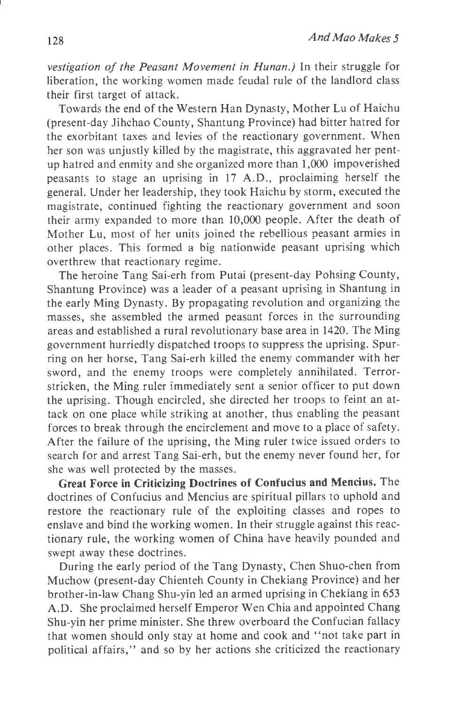vestigation of the Peasant Movement in Hunan.) In their struggle for liberation, the working women made feudal rule of the landlord class their first target of attack.

Towards the end of the Western Han Dynasty, Mother Lu of Haichu (present-day Jihchao County, Shantung Province) had bitter hatred for the exorbitant taxes and levies of the reactionary government. When her son was unjustly killed by the magistrate, this aggravated her pentup hatred and enmity and she organized more than I,000 impoverished peasants to stage an uprising in 17 A.D., proclaiming herself the general. Under her leadership, they took Haichu by storm, executed the magistrate, continued fighting the reactionary government and soon their army expanded to more than 10,000 people. After the death of Mother Lu, most of her units joined the rebellious peasant armies in other places. This formed a big nationwide peasant uprising which overthrew that reactionary regime.

The heroine Tang Sai-erh from Putai (present-day Pohsing County, Shantung Province) was a leader of a peasant uprising in Shantung in the early Ming Dynasty. By propagating revolution and organizing the masses, she assembled the armed peasant forces in the surrounding areas and established a rural revolutionary base area in 1420. The Ming government hurriedly dispatched troops to suppress the uprising. Spurring on her horse, Tang Sai-erh killed the enemy commander with her sword, and the enemy troops were completely annihilated. Terrorstricken, the Ming ruler immediately sent a senior officer to put down the uprising. Though encircled, she directed her troops to feint an attack on one place while striking at another, thus enabling the peasant forces to break through the encirclement and move to a place of safety. After the failure of the uprising, the Ming ruler twice issued orders to search for and arrest Tang Sai-erh, but the enemy never found her, for she was well protected by the masses.

Great Force in Criticizing Doctrines of Confucius and Mencius. The doctrines of Confucius and Mencius are spiritual pillars to uphold and restore the reactionary rule of the exploiting classes and ropes to enslave and bind the working women. In their struggle against this reactionary rule, the working women of China have heavily pounded and swept away these doctrines.

During the early period of the Tang Dynasty, Chen Shuo-chen from Muchow (present-day Chienteh County in Chekiang Province) and her brother-in-law Chang Shu-yin led an armed uprising in Chekiang in 653 A.D. She proclaimed herself Emperor Wen Chia and appointed Chang Shu-yin ner prime minister. She threw overboard the Confucian fallacy that women should only stay at home and cook and "not take part in political affairs," and so by her actions she criticized the reactionary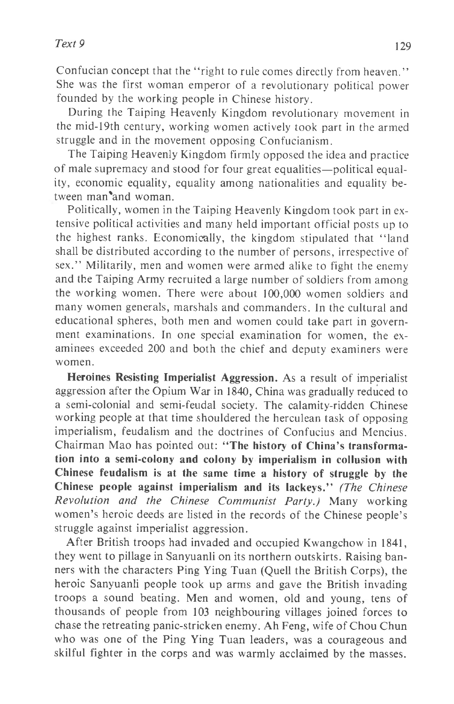Confucian concept that the "right to rule comes directly from heaven." She was the first woman emperor of a revolutionary political power founded by the working people in Chinese history.

During the Taiping Heavenly Kingdom revolutionary movement in the mid-l9th century, working women actively took part in the armed struggle and in the movement opposing Confucianism.

The Taiping Heavenly Kingdom firmly opposed the idea and practice of male supremacy and stood for four great equalities-political equality, economic equality, equality among nationalities and equality between man<sup>t</sup>and woman.

Politically, women in the Taiping Heavenly Kingdom took part in extensive political activities and many held important official posts up to the highest ranks. Economically, the kingdom stipulated that "land shall be distributed according to the number of persons, irrespective of sex." Militarily, men and women were armed alike to fight the enemy and the Taiping Army recruited a large number of soldiers from among the working women. There were about 100,000 women soldiers and many women generals, marshals and commanders. In the cultural and educational spheres, both men and women could take part in government examinations. In one special examination for women, the examinees exceeded 200 and both the chief and deputy examiners were women.

Heroines Resisting Imperialist Aggression. As a result of imperialist aggression after the Opium War in 184O, China was gradually reduced to a semi-colonial and semi-feudal society. The calamity-ridden Chinese working people at that time shouldered the herculean task of opposing imperialism, feudalism and the doctrines of Confucius and Mencius. Chairman Mao has pointed out: "The history of China's transformation into a semi-colony and colony by imperialism in collusion with Chinese feudalism is at the same time a history of struggle by the Chinese people against imperialism and its lackeys." (The Chinese Revolution and the Chinese Communist Party.) Many working women's heroic deeds are listed in the records of the Chinese people's struggle against imperialist aggression.

After British troops had invaded and occupied Kwangchow in 1841, they went to pillage in Sanyuanli on its northern outskirts. Raising banners with the characters Ping Ying Tuan (Quell the British Corps), the heroic Sanyuanli people took up arms and gave the British invading troops a sound beating. Men and women, old and young, tens of thousands of people from 103 neighbouring villages joined forces to chase the retreating panic-stricken enemy. Ah Feng, wife of Chou Chun who was one of the Ping Ying Tuan leaders, was a courageous and skilful fighter in the corps and was warmly acclaimed by the masses.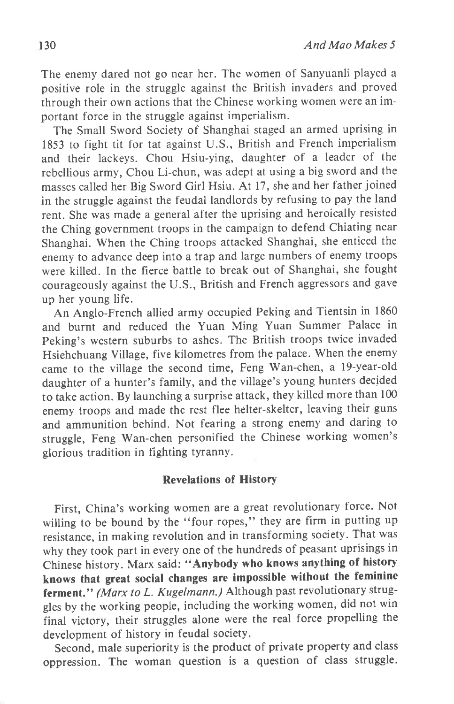The enemy dared not go near her. The women of Sanyuanli played <sup>a</sup> positive role in the struggle against the British invaders and proved through their own actions that the Chinese working women were an important force in the struggle against imperialism.

The Small Sword Society of Shanghai staged an armed uprising in 1853 to fight tit for tat against U.S., British and French imperialism and their lackeys. Chou Hsiu-ying, daughter of a leader of the rebellious army, Chou Li-chun, was adept at using a big sword and the masses called her Big Sword Girl Hsiu. At 17, she and her father joined in the struggle against the feudal landlords by refusing to pay the land rent. She was made a general after the uprising and heroically resisted the Ching government troops in the campaign to defend Chiating near Shanghai. When the Ching troops attacked Shanghai, she enticed the enemy to advance deep into a trap and large numbers of enemy troops were killed. In the fierce battle to break out of Shanghai, she fought courageously against the U.S., British and French aggressors and gave up her young life.

An Anglo-French allied army occupied Peking and Tientsin in <sup>1860</sup> and burnt and reduced the Yuan Ming Yuan Summer Palace in Peking's western suburbs to ashes. The British troops twice invaded Hsiehchuang Village, five kilometres from the palace. When the enemy came to the village the second time, Feng Wan-chen, a l9-year-old daughter of a hunter's family, and the village's young hunters decided to take action. By launching a surprise attack, they killed more than <sup>100</sup> enemy troops and made the rest flee helter-skelter, leaving their guns and ammunition behind. Not fearing a strong enemy and daring to struggle, Feng Wan-chen personified the Chinese working women's glorious tradition in fighting tyranny.

#### Revelations of History

First, China's working women are a great revolutionary force. Not willing to be bound by the "four ropes," they are firm in putting up resistance, in making revolution and in transforming society. That was why they took part in every one of the hundreds of peasant uprisings in Chinese history. Marx said: "Anybody who knows anything of history knows that great social changes are impossible without the feminine ferment." (Marx to L. Kugelmann.) Although past revolutionary struggles by the working people, including the working women, did not win final victory, their struggles alone were the real force propelling the development of history in feudal society.

Second, male superiority is the product of private property and class oppression. The woman question is a question of class struggle.